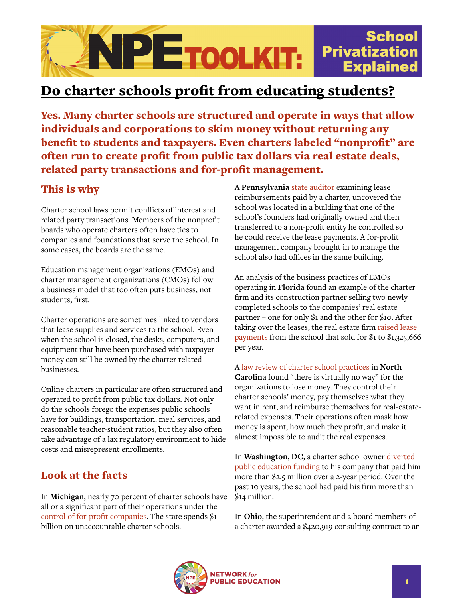

## Do charter schools profit from educating students?

Yes. Many charter schools are structured and operate in ways that allow individuals and corporations to skim money without returning any benefit to students and taxpayers. Even charters labeled "nonprofit" are often run to create profit from public tax dollars via real estate deals, related party transactions and for-profit management.

## This is why

Charter school laws permit conflicts of interest and related party transactions. Members of the nonprofit boards who operate charters often have ties to companies and foundations that serve the school. In some cases, the boards are the same.

Education management organizations (EMOs) and charter management organizations (CMOs) follow a business model that too often puts business, not students, first.

Charter operations are sometimes linked to vendors that lease supplies and services to the school. Even when the school is closed, the desks, computers, and equipment that have been purchased with taxpayer money can still be owned by the charter related businesses.

Online charters in particular are often structured and operated to profit from public tax dollars. Not only do the schools forego the expenses public schools have for buildings, transportation, meal services, and reasonable teacher-student ratios, but they also often take advantage of a lax regulatory environment to hide costs and misrepresent enrollments.

## Look at the facts

In **Michigan**, nearly 70 percent of charter schools have all or a significant part of their operations under the [control of for-profit companies.](https://www.freep.com/story/news/local/michigan/2014/06/22/michigan-spends-1b-on-charter-schools-but-fails-to-hold/77155074/) The state spends \$1 billion on unaccountable charter schools.

A **Pennsylvania** [state auditor](https://nepc.colorado.edu/publication/charter-revenue) examining lease reimbursements paid by a charter, uncovered the school was located in a building that one of the school's founders had originally owned and then transferred to a non-profit entity he controlled so he could receive the lease payments. A for-profit management company brought in to manage the school also had offices in the same building.

An analysis of the business practices of EMOs operating in **Florida** found an example of the charter firm and its construction partner selling two newly completed schools to the companies' real estate partner – one for only \$1 and the other for \$10. After taking over the leases, the real estate firm [raised lease](https://lwveducation.com/the-league-in-action-on-for-profit-charters/)  [payments](https://lwveducation.com/the-league-in-action-on-for-profit-charters/) from the school that sold for \$1 to \$1,325,666 per year.

A [law review of charter school practices](http://scholarship.law.unc.edu/cgi/viewcontent.cgi?article=4753&context=nclr) in **North Carolina** found "there is virtually no way" for the organizations to lose money. They control their charter schools' money, pay themselves what they want in rent, and reimburse themselves for real-estaterelated expenses. Their operations often mask how money is spent, how much they profit, and make it almost impossible to audit the real expenses.

In **Washington, DC**, a charter school owner [diverted](https://www.populardemocracy.org/news/tip-iceberg-charter-school-vulnerabilities-waste-fraud-and-abuse)  [public education funding](https://www.populardemocracy.org/news/tip-iceberg-charter-school-vulnerabilities-waste-fraud-and-abuse) to his company that paid him more than \$2.5 million over a 2-year period. Over the past 10 years, the school had paid his firm more than \$14 million.

In **Ohio**, the superintendent and 2 board members of a charter awarded a \$420,919 consulting contract to an